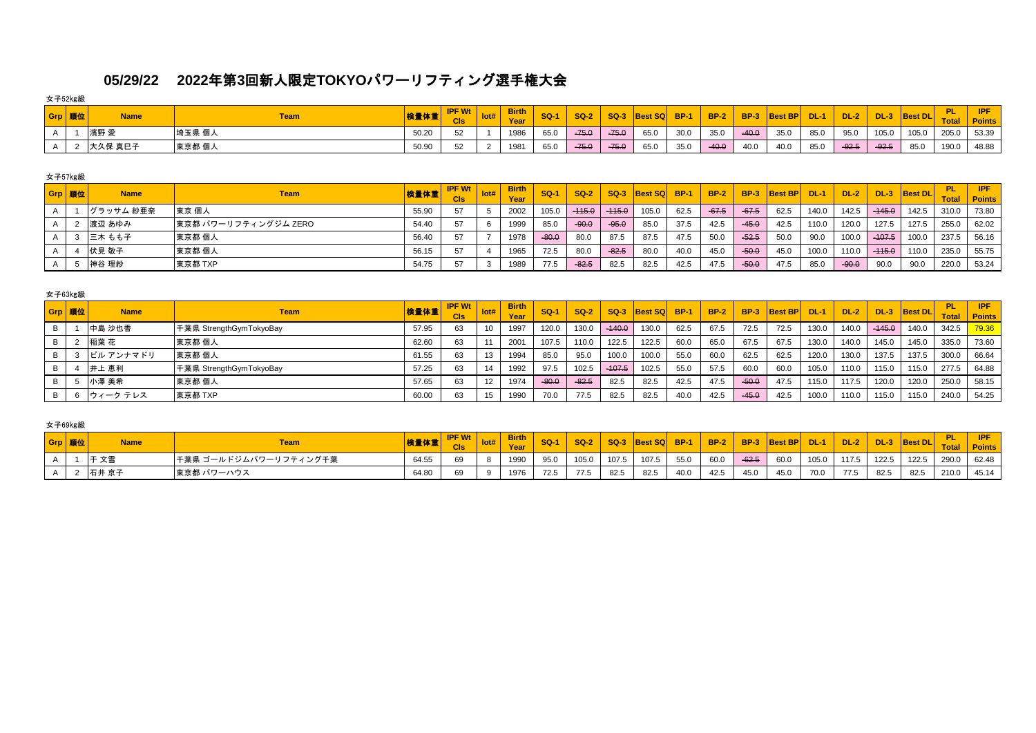# **05/29/22 2022**年第**3**回新人限定**TOKYO**パワーリフティング選手権大会

女子52㎏級

| Grp 順位 | <b>Name</b> | <b>Team</b> | 検量体重  | <b>IPF Wt</b><br><b>CIs</b> | <b>Birth</b><br>Year | $SO-1$ | <b>SQ-2</b> | $SQ-3$  | <b>Best SQL</b> | <b>BP-1</b> | <b>BP-2</b> | <b>BP-3</b> | <b>Best BP</b> | $DL-1$ | $DL-2$  | <b>DL-3</b> | <b>Best DL</b> | DI.   | <b>IPF</b><br><b>Point</b> |
|--------|-------------|-------------|-------|-----------------------------|----------------------|--------|-------------|---------|-----------------|-------------|-------------|-------------|----------------|--------|---------|-------------|----------------|-------|----------------------------|
|        | 濱野 デ        | 埼玉県 個人      | 50.20 | $\sim$                      | 1986                 | 65.0   | $-75.0$     | $-75.0$ | 65.0            | 30.0        | 35.0        | $-40.0$     | 35.0           | 85.0   | 95.0    | 105.0       | 105.0          | 205.0 | 53.39                      |
|        | 大久保 真巳子     | 東京都 個人      | 50.90 | 52<br>ັ                     | 1981                 | 65.0   | $-75.0$     | $-75.0$ | 65.0            | 35.0        | $-40.0$     | 40.0        | 40.0           | 85.0   | $-92.5$ | $-92.5$     | 85.0           | 190.0 | 48.88                      |

### 女子57㎏級

| Grp 順位 | <b>Name</b> | Team                 | 検量体重  | <b>IPF Wt</b> | <b>Birth</b> | <b>SQ-1</b> | $SO-2$   |          | SQ-3 Best SQ BP-1 |      | $BP-2$  |         | BP-3 Best BP DL-1 |       | DL-2    |          | DL-3  Best DL | <b>Total</b> | <b>IPF</b><br><b>Points</b> |
|--------|-------------|----------------------|-------|---------------|--------------|-------------|----------|----------|-------------------|------|---------|---------|-------------------|-------|---------|----------|---------------|--------------|-----------------------------|
|        | グラッサム 紗亜奈   | 東京 個人                | 55.90 | 57            | 2002         | 105.0       | $-115.0$ | $-115.0$ | 105.0             | 62.5 | $-67.5$ | $-67.5$ | 62.5              | 140.0 | 142.5   | $-445.0$ | 142.5         | 310.0        | 73.80                       |
|        | 渡辺 あゆみ      | 東京都 パワーリフティングジム ZERO | 54.40 | 57            | 1999         | 85.0        | $-90.0$  | $-95.0$  | 85.0              | 37.5 | 42.5    | $-45.0$ | 42.5              | 110.0 | 120.0   | 127.5    | 127.5         | 255.0        | 62.02                       |
|        | 三木 もも子      | 東京都 個人               | 56.40 | 57            | 1978         | $-80.0$     | 80.0     | 87.5     | 87.5              | 47.5 | 50.0    | $-52.5$ | 50.0              | 90.0  | 100.0   | $-107.5$ | 100.0         | 237.5        | 56.16                       |
|        | 伏見 敬子       | 東京都 個人               | 56.15 | 57            | 1965         | 72.5        | 80.0     | $-82.5$  | 80.0              | 40.0 | 45.0    | $-50.0$ | 45.0              | 100.0 | 110.0   | $-115.0$ | 110.0         | 235.0        | 55.75                       |
|        | 神谷 理紗       | 東京都 TXP              | 54.75 | 57            | 1989         | 77.5        | $-82.5$  | 82.5     | 82.5              | 42.5 | 47.5    | $-50.0$ | 47.5              | 85.0  | $-90.0$ | 90.0     | 90.0          | 220.0        | 53.24                       |

## 女子63㎏級

| Grp 順位 | <b>Name</b> | <b>Team</b>             | 検量体重  | <b>IPF Wt</b><br><b>CIs</b> | Iot# | <b>Birth</b><br>Year | $SO-1$  | $SO-2$  | $SO-3$   | <b>Best SQ</b> | <b>BP-1</b> | <b>BP-2</b> | <b>BP-3</b> | <b>Best BP</b> | DL-1  | $DL-2$ | <b>DL-3</b> | <b>Best DL</b> | <b>Total</b> | IPF.<br><b>Points</b> |
|--------|-------------|-------------------------|-------|-----------------------------|------|----------------------|---------|---------|----------|----------------|-------------|-------------|-------------|----------------|-------|--------|-------------|----------------|--------------|-----------------------|
|        | 中島 沙也香      | 千葉県 StrengthGymTokyoBay | 57.95 | 63                          |      | 1997                 | 120.0   | 130.0   | $-140.0$ | 130.0          | 62.5        | 67.5        | 72.5        | 72.5           | 130.0 | 140.0  | $-145.0$    | 140.0          | 342.5        | 79.36                 |
|        | 稲葉 花        | 東京都 個人                  | 62.60 | 63                          |      | 2001                 | 107.5   | 110.0   | 122.5    | 122.5          | 60.0        | 65.0        | 67.5        | 67.5           | 130.0 | 140.0  | 145.0       | 145.0          | 335.0        | 73.60                 |
|        | ピル アンナマドリ   | 東京都 個人                  | 61.55 | 63                          |      | 1994                 | 85.0    | 95.0    | 100.C    | 100.0          | 55.0        | 60.0        | 62.5        | 62.5           | 120.0 | 130.0  | 137.5       | 137.5          | 300.0        | 66.64                 |
|        | 井上 恵利       | 手葉県 StrengthGymTokyoBay | 57.25 | 63                          |      | 1992                 | 97.5    | 102.5   | $-107.5$ | 102.5          | 55.0        | 57.5        | 60.0        | 60.0           | 105.0 | 110.0  | 115.0       | 115.0          | 277.5        | 64.88                 |
|        | 小澤 美希       | 東京都 個人                  | 57.65 | 63                          |      | 1974                 | $-80.6$ | $-82.5$ | 82.5     | 82.5           | 42.5        | 47.5        | $-50.0$     | 47.5           | 115.0 | 117.5  | 120.0       | 120.0          | 250.0        | 58.15                 |
|        | ウィーク テレス    | 東京都 TXP                 | 60.00 | 63                          |      | 1990                 | 70.0    | 77.5    | 82.5     | 82.5           | 40.0        | 42.5        | $-45.0$     | 42.5           | 100.0 | 110.0  | 115.0       | 115.0          | 240.0        | 54.25                 |

### 女子69㎏級

| Grp 順位 | <b>Name</b>       | <b>Team</b>            | 検量体重  | <b>IDE W<sub>4</sub></b><br><b>VVL</b><br><b>CIS</b> | <b>Birth</b><br>Year | <b>SQ-1</b> | <b>SQ-2</b> | $SO-3$ | <b>Best SQ BP-1</b> |      | <b>BP-2</b> |         | BP-3 Best BP DL-1 |       | $\sqrt{}$ DL-2 $\sqrt{}$ | $DL-3$ | <b>Best DL</b> | Tota  | <b>IPF</b><br><b>Points</b> |
|--------|-------------------|------------------------|-------|------------------------------------------------------|----------------------|-------------|-------------|--------|---------------------|------|-------------|---------|-------------------|-------|--------------------------|--------|----------------|-------|-----------------------------|
|        | l∓ <del>∀</del> ≣ | ┃千葉県 ゴールドジムパワーリフティング千葉 | 64.55 |                                                      | 1990                 | 95.0        | 105.0       | 107.5  | 107.5               | 55.0 | 60.0        | $-62.5$ | 60.0              | 105.0 | 117.5                    | 122.5  | 122.5          | 290.0 | 62.48                       |
|        | 石井 京子             | 東京都 パワーハウス             | 64.80 | 69                                                   | 1976                 | 72.5        | 77.5        | 82.5   | 82.5                | 40.0 | 42.5        | 45.0    | 45.0              | 70.0  | 77.5                     | 82.5   | 82.5           | 210.0 | 45.14                       |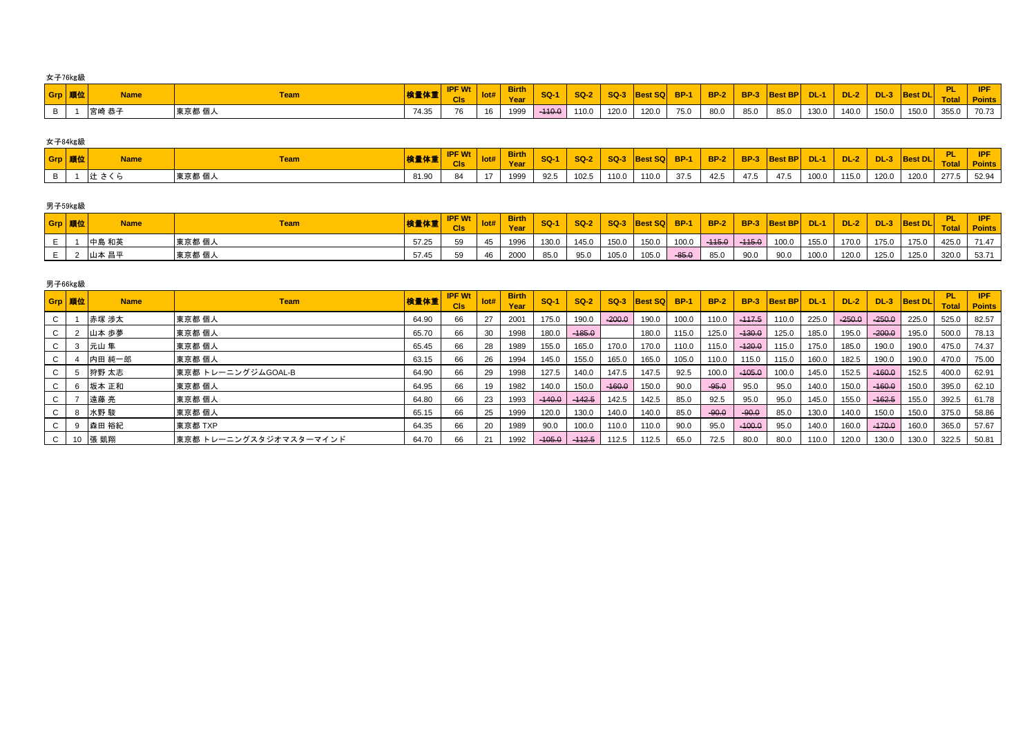女子76㎏級

| Grp 順位 | <b>Name</b> |        | 検量体重  | <b>IDE MA</b><br><b>CIs</b>  |    | <b>Birth</b> | <b>SQ-1</b> | <b>SQ-2</b> |       | SQ-3 Best SQ BP-1 |      |      |      | BP-2   BP-3 Best BP | <b>DL-1</b> | <b>DL-2</b> | $DL-3$ | $ $ Best DL $ _$ $-$ | <b>The</b> |       |
|--------|-------------|--------|-------|------------------------------|----|--------------|-------------|-------------|-------|-------------------|------|------|------|---------------------|-------------|-------------|--------|----------------------|------------|-------|
|        | 宮崎 恭子       | 東京都 個人 | 74.35 | $\overline{z}$<br>$\sqrt{6}$ | 16 | 1999         | $-410.0$    | 110.0       | 120.0 | 120.0             | 75.0 | 80.0 | 85.0 | 85.0                | 130.0       | 140.0       |        | 150.0 150.0          | 355.0      | 70.73 |

| 女子84kg級 |             |            |       |                      |              |        |             |        |              |      |             |             |                |             |        |             |                |       |               |
|---------|-------------|------------|-------|----------------------|--------------|--------|-------------|--------|--------------|------|-------------|-------------|----------------|-------------|--------|-------------|----------------|-------|---------------|
| Grp 順位  | <b>Name</b> |            |       | $\blacksquare$ PF Wt | <b>lirth</b> | $SO-1$ | <b>SQ-2</b> | $SO-3$ | Best SQ BP-1 |      | <b>BP-2</b> | <b>BP-3</b> | <b>Best BP</b> | <b>DL-1</b> | $DL-2$ | <b>DL-3</b> | <b>Best DL</b> | DI.   | <b>IPF</b>    |
|         |             | <u>eam</u> | 极重怀里  | <b>CIs</b>           | <b>Year</b>  |        |             |        |              |      |             |             |                |             |        |             |                |       | <b>Points</b> |
|         | 辻           | 東京都 個人     | 81.90 | 84                   | 1999         | 92.5   | 102.5       | 110.0  | 110.0        | 37.5 | 42.5        | 47.5        | 47.5           | 100.0       | 115.0  | 120.0       | 120.0          | 277.5 | 52.94         |

# 男子59㎏級

| Grp  順位 | <b>Name</b> | <u>Feam</u> | 検量体重  | <b>CIS</b> | <b>POLE PRODUCT</b> | <b>SQ-1</b> | <b>SQ-2</b> | $SQ-3$ | Best SQ BP-1 |         | $\overline{BP-2}$ |      | BP-3 Best BP  | $DL-1/$ | <b>DL-2</b> | $DL-3$ | <b>Best DL</b> |       | IPF.<br><b>Points</b> |
|---------|-------------|-------------|-------|------------|---------------------|-------------|-------------|--------|--------------|---------|-------------------|------|---------------|---------|-------------|--------|----------------|-------|-----------------------|
|         | 中島 和英       | 東京都 個人      | 57.25 | 59         | 1996                | 130.0       | 145.0       | 150.0  | 150.0        | 100.0   | $-445.0$ $-445.0$ |      | $100.0$ 155.0 |         | 170.0       | 175.0  | 175.0          | 425.0 | 71.47                 |
|         | 山本 昌平       | 東京都 個人      | 57.45 | 59         | 2000                | 85.0        | 95.0        | 105.0  | 105.0        | $-85.0$ | 85.0              | 90.0 | 90.0          | 100.0   | 120.0       | 125.0  | 125.0          | 320.0 | 53.71                 |

| 男子66kg級      |             |                        |       |                             |      |                      |          |          |          |              |       |             |          |                     |       |          |          |                |                      |                       |
|--------------|-------------|------------------------|-------|-----------------------------|------|----------------------|----------|----------|----------|--------------|-------|-------------|----------|---------------------|-------|----------|----------|----------------|----------------------|-----------------------|
| Grp 順位       | <b>Name</b> | <b>Team</b>            | 検量体重  | <b>IPF Wt</b><br><b>CIs</b> | Iot# | <b>Birth</b><br>Year | $SO-1$   | $SO-2$   | SQ-3     | Best SQ BP-1 |       | <b>BP-2</b> |          | <b>BP-3 Best BP</b> | DL-1  | $DL-2$   | $DL-3$   | <b>Best DL</b> | - PL<br><b>Total</b> | IPF.<br><b>Points</b> |
| C            | 赤塚 渉太       | 東京都 個人                 | 64.90 | 66                          |      | 2001                 | 175.0    | 190.0    | $-200.0$ | 190.0        | 100.0 | 110.0       | $-117.5$ | 110.0               | 225.0 | $-250.0$ | $-250.0$ | 225.0          | 525.0                | 82.57                 |
| C            | 山本 歩夢       | 東京都 個人                 | 65.70 | 66                          | - 30 | 1998                 | 180.0    | $-185.0$ |          | 180.0        | 115.0 | 125.0       | $-130.0$ | 125.0               | 185.0 | 195.0    | $-200.0$ | 195.0          | 500.0                | 78.13                 |
| C            | 元山 隼        | 東京都 個人                 | 65.45 | 66                          | 28   | 1989                 | 155.0    | 165.0    | 170.0    | 170.0        | 110.0 | 115.0       | $-120.0$ | 115.0               | 175.0 | 185.0    | 190.0    | 190.0          | 475.0                | 74.37                 |
| C            | 内田 純一郎      | 東京都 個人                 | 63.15 | 66                          | 26   | 1994                 | 145.0    | 155.0    | 165.0    | 165.0        | 105.0 | 110.0       | 115.0    | 115.0               | 160.0 | 182.5    | 190.0    | 190.0          | 470.0                | 75.00                 |
| C            | 狩野 太志       | 東京都 トレーニングジムGOAL-B     | 64.90 | 66                          | 29   | 1998                 | 127.5    | 140.0    | 147.5    | 147.5        | 92.5  | 100.0       | $-105.0$ | 100.0               | 145.0 | 152.5    | $-160.0$ | 152.5          | 400.0                | 62.91                 |
|              | 坂本 正和       | 東京都 個人                 | 64.95 | 66                          | 19   | 1982                 | 140.0    | 150.0    | $-460.0$ | 150.0        | 90.0  | $-95.0$     | 95.0     | 95.0                | 140.0 | 150.0    | $-160.0$ | 150.0          | 395.0                | 62.10                 |
| C            | 遠藤 亮        | 東京都 個人                 | 64.80 | 66                          | 23   | 1993                 | $-440.0$ | $-142.5$ | 142.5    | 142.5        | 85.0  | 92.5        | 95.0     | 95.0                | 145.0 | 155.0    | $-162.5$ | 155.0          | 392.5                | 61.78                 |
| C            | 水野 駿        | 東京都 個人                 | 65.15 | 66                          | 25   | 1999                 | 120.0    | 130.0    | 140.0    | 140.0        | 85.0  | $-90.0$     | $-90.0$  | 85.0                | 130.0 | 140.0    | 150.0    | 150.0          | 375.0                | 58.86                 |
|              | 森田 裕紀       | 東京都 TXP                | 64.35 | 66                          | -20  | 1989                 | 90.0     | 100.0    | 110.0    | 110.0        | 90.0  | 95.0        | $-100.0$ | 95.0                | 140.0 | 160.0    | $-170.0$ | 160.0          | 365.0                | 57.67                 |
| $\mathbf{C}$ | 張 凱翔        | 東京都 トレーニングスタジオマスターマインド | 64.70 | 66                          |      | 1992                 | $-405.0$ | $-112.5$ | 112.5    | 112.5        | 65.0  | 72.5        | 80.0     | 80.0                | 110.0 | 120.0    | 130.0    | 130.0          | 322.5                | 50.81                 |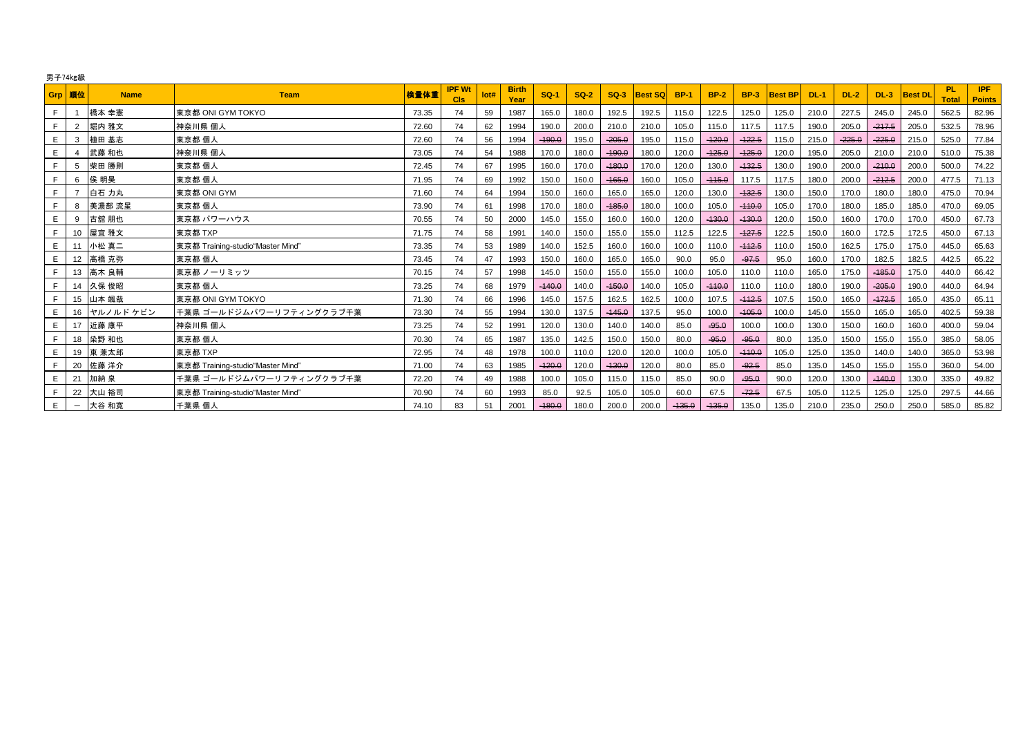|       | 男子74kg級                  |             |                                  |       |                      |      |                      |          |        |          |                |             |             |             |                |             |          |          |                |                     |                             |
|-------|--------------------------|-------------|----------------------------------|-------|----------------------|------|----------------------|----------|--------|----------|----------------|-------------|-------------|-------------|----------------|-------------|----------|----------|----------------|---------------------|-----------------------------|
|       | Grp 順位                   | <b>Name</b> | <b>Team</b>                      | 検量体重  | <b>IPF Wt</b><br>Cls | lot# | <b>Birth</b><br>Year | $SO-1$   | $SO-2$ | SQ-3     | <b>Best SQ</b> | <b>BP-1</b> | <b>BP-2</b> | <b>BP-3</b> | <b>Best BP</b> | <b>DL-1</b> | $DL-2$   | $DL-3$   | <b>Best DL</b> | PL.<br><b>Total</b> | <b>IPF</b><br><b>Points</b> |
| F.    | $\overline{1}$           | 橋本 幸憲       | 東京都 ONI GYM TOKYO                | 73.35 | 74                   | 59   | 1987                 | 165.0    | 180.0  | 192.5    | 192.5          | 115.0       | 122.5       | 125.0       | 125.0          | 210.0       | 227.5    | 245.0    | 245.0          | 562.5               | 82.96                       |
|       | 2                        | 堀内 雅文       | 神奈川県 個人                          | 72.60 | 74                   | 62   | 1994                 | 190.0    | 200.0  | 210.0    | 210.0          | 105.0       | 115.0       | 117.5       | 117.5          | 190.0       | 205.0    | $-217.5$ | 205.0          | 532.5               | 78.96                       |
| E.    | 3                        | 植田 基志       | 東京都 個人                           | 72.60 | 74                   | 56   | 1994                 | $-190.0$ | 195.0  | $-205.0$ | 195.0          | 115.0       | $-420.0$    | $-122.5$    | 115.0          | 215.0       | $-225.0$ | $-225.0$ | 215.0          | 525.0               | 77.84                       |
| E     |                          | 武藤 和也       | 神奈川県 個人                          | 73.05 | 74                   | 54   | 1988                 | 170.0    | 180.0  | $-190.0$ | 180.0          | 120.0       | $-125.0$    | $-125.0$    | 120.0          | 195.0       | 205.0    | 210.0    | 210.0          | 510.0               | 75.38                       |
| F     | 5                        | 柴田 勝則       | 東京都 個人                           | 72.45 | 74                   | 67   | 1995                 | 160.0    | 170.0  | $-180.0$ | 170.0          | 120.0       | 130.0       | $-132.5$    | 130.0          | 190.0       | 200.0    | $-210.0$ | 200.0          | 500.0               | 74.22                       |
| F     | 6                        | 侯 明昊        | 東京都 個人                           | 71.95 | 74                   | 69   | 1992                 | 150.0    | 160.0  | $-465.0$ | 160.0          | 105.0       | $-445.0$    | 117.5       | 117.5          | 180.0       | 200.0    | $-212.5$ | 200.0          | 477.5               | 71.13                       |
| F.    |                          | 白石 力丸       | 東京都 ONI GYM                      | 71.60 | 74                   | 64   | 1994                 | 150.0    | 160.0  | 165.0    | 165.0          | 120.0       | 130.0       | $-132.5$    | 130.0          | 150.0       | 170.0    | 180.0    | 180.0          | 475.0               | 70.94                       |
|       | 8                        | 美濃部 流星      | 東京都 個人                           | 73.90 | 74                   | 61   | 1998                 | 170.0    | 180.0  | $-185.0$ | 180.0          | 100.0       | 105.0       | $-110.0$    | 105.0          | 170.0       | 180.0    | 185.0    | 185.0          | 470.0               | 69.05                       |
| E     | 9                        | 古舘 朋也       | 東京都 パワーハウス                       | 70.55 | 74                   | 50   | 2000                 | 145.0    | 155.0  | 160.0    | 160.0          | 120.0       | $-130.0$    | $-130.0$    | 120.0          | 150.0       | 160.0    | 170.0    | 170.0          | 450.0               | 67.73                       |
| F     | 10                       | 屋宜 雅文       | 東京都 TXP                          | 71.75 | 74                   | 58   | 1991                 | 140.0    | 150.0  | 155.0    | 155.0          | 112.5       | 122.5       | $-127.5$    | 122.5          | 150.0       | 160.0    | 172.5    | 172.5          | 450.0               | 67.13                       |
| E     | 11                       | 小松 真二       | 東京都 Training-studio"Master Mind" | 73.35 | 74                   | 53   | 1989                 | 140.0    | 152.5  | 160.0    | 160.0          | 100.0       | 110.0       | $-112.5$    | 110.0          | 150.0       | 162.5    | 175.0    | 175.0          | 445.0               | 65.63                       |
| E.    | 12                       | 高橋 克弥       | 東京都 個人                           | 73.45 | 74                   | 47   | 1993                 | 150.0    | 160.0  | 165.0    | 165.0          | 90.0        | 95.0        | $-97.5$     | 95.0           | 160.0       | 170.0    | 182.5    | 182.5          | 442.5               | 65.22                       |
|       | 13                       | 高木 良輔       | 東京都 ノーリミッツ                       | 70.15 | 74                   | 57   | 1998                 | 145.0    | 150.0  | 155.0    | 155.0          | 100.0       | 105.0       | 110.0       | 110.0          | 165.0       | 175.0    | $-185.0$ | 175.0          | 440.0               | 66.42                       |
| $F -$ | 14                       | 久保 俊昭       | 東京都 個人                           | 73.25 | 74                   | 68   | 1979                 | $-140.0$ | 140.0  | $-150.0$ | 140.0          | 105.0       | $-410.0$    | 110.0       | 110.0          | 180.0       | 190.0    | $-205.0$ | 190.0          | 440.0               | 64.94                       |
| $F -$ | 15                       | 山本 颯哉       | 東京都 ONI GYM TOKYO                | 71.30 | 74                   | 66   | 1996                 | 145.0    | 157.5  | 162.5    | 162.5          | 100.0       | 107.5       | $-112.5$    | 107.5          | 150.0       | 165.0    | $-172.5$ | 165.0          | 435.0               | 65.11                       |
| E     |                          | 16 ヤルノルドケビン | ┃千葉県 ゴールドジムパワーリフティングクラブ千葉        | 73.30 | 74                   | 55   | 1994                 | 130.0    | 137.5  | $-145.0$ | 137.5          | 95.0        | 100.0       | $-105.0$    | 100.0          | 145.0       | 155.0    | 165.0    | 165.0          | 402.5               | 59.38                       |
| E     | 17                       | 近藤 康平       | 神奈川県 個人                          | 73.25 | 74                   | 52   | 1991                 | 120.0    | 130.0  | 140.0    | 140.0          | 85.0        | $-95.0$     | 100.0       | 100.0          | 130.0       | 150.0    | 160.0    | 160.0          | 400.0               | 59.04                       |
| F.    | 18                       | 染野 和也       | 東京都 個人                           | 70.30 | 74                   | 65   | 1987                 | 135.0    | 142.5  | 150.0    | 150.0          | 80.0        | $-95.0$     | $-95.0$     | 80.0           | 135.0       | 150.0    | 155.0    | 155.0          | 385.0               | 58.05                       |
| E     | 19                       | 東 兼太郎       | 東京都 TXP                          | 72.95 | 74                   | 48   | 1978                 | 100.0    | 110.0  | 120.0    | 120.0          | 100.0       | 105.0       | $-110.0$    | 105.0          | 125.0       | 135.0    | 140.0    | 140.0          | 365.0               | 53.98                       |
| F.    | 20                       | 佐藤 洋介       | 東京都 Training-studio"Master Mind" | 71.00 | 74                   | 63   | 1985                 | $-420.0$ | 120.0  | $-130.0$ | 120.0          | 80.0        | 85.0        | $-92.5$     | 85.0           | 135.0       | 145.0    | 155.0    | 155.0          | 360.0               | 54.00                       |
| E     | 21                       | 加納 泉        | 千葉県 ゴールドジムパワーリフティングクラブ千葉         | 72.20 | 74                   | 49   | 1988                 | 100.0    | 105.0  | 115.0    | 115.0          | 85.0        | 90.0        | $-95.0$     | 90.0           | 120.0       | 130.0    | $-140.0$ | 130.0          | 335.0               | 49.82                       |
| F.    | 22                       | 大山 裕司       | 東京都 Training-studio"Master Mind" | 70.90 | 74                   | 60   | 1993                 | 85.0     | 92.5   | 105.0    | 105.0          | 60.0        | 67.5        | $-72.5$     | 67.5           | 105.0       | 112.5    | 125.0    | 125.0          | 297.5               | 44.66                       |
| E     | $\overline{\phantom{m}}$ | 大谷 和寛       | 千葉県 個人                           | 74.10 | 83                   | 51   | 2001                 | $-180.0$ | 180.0  | 200.0    | 200.0          | $-135.0$    | $-435.0$    | 135.0       | 135.0          | 210.0       | 235.0    | 250.0    | 250.0          | 585.0               | 85.82                       |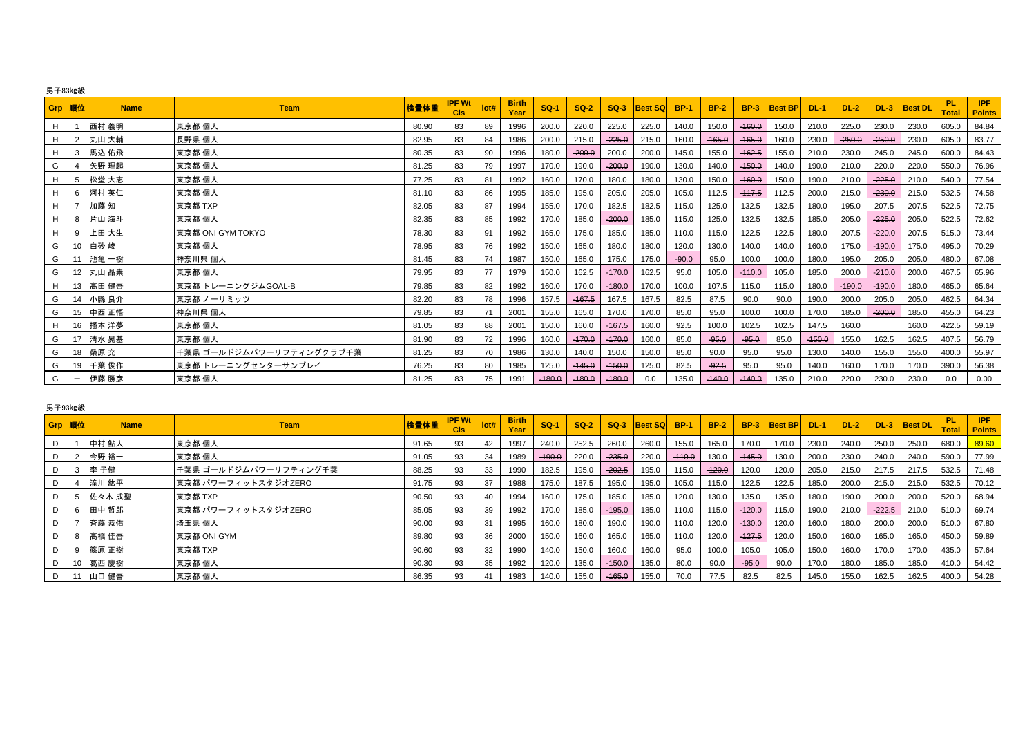|   | Grp   順位                        | <b>Name</b> | <b>Team</b>              | 検量体重  | <b>IPF Wt</b><br>Cis | lot# | <b>Birth</b><br>Year | $SO-1$   | $SO-2$   | $SO-3$   | <b>Best SQ</b> | <b>BP-1</b> | <b>BP-2</b> | <b>BP-3</b> | <b>Best BP</b> | DL-1     | $DL-2$   | $DL-3$   | <b>Best DL</b> | <b>PL</b><br><b>Total</b> | <b>IPF</b><br><b>Points</b> |
|---|---------------------------------|-------------|--------------------------|-------|----------------------|------|----------------------|----------|----------|----------|----------------|-------------|-------------|-------------|----------------|----------|----------|----------|----------------|---------------------------|-----------------------------|
| H |                                 | 西村 義明       | 東京都 個人                   | 80.90 | 83                   | 89   | 1996                 | 200.0    | 220.0    | 225.0    | 225.0          | 140.0       | 150.0       | $-160.0$    | 150.0          | 210.0    | 225.0    | 230.0    | 230.0          | 605.0                     | 84.84                       |
| H | 2                               | 丸山 大輔       | 長野県 個人                   | 82.95 | 83                   | 84   | 1986                 | 200.0    | 215.0    | $-225.0$ | 215.0          | 160.0       | $-165.0$    | $-165.0$    | 160.0          | 230.0    | $-250.0$ | $-250.0$ | 230.0          | 605.0                     | 83.77                       |
| H | 3                               | 馬込 佑飛       | 東京都 個人                   | 80.35 | 83                   | 90   | 1996                 | 180.0    | $-200.0$ | 200.0    | 200.0          | 145.0       | 155.0       | $-162.5$    | 155.0          | 210.0    | 230.0    | 245.0    | 245.0          | 600.0                     | 84.43                       |
| G |                                 | 矢野 理起       | 東京都 個人                   | 81.25 | 83                   | 79   | 1997                 | 170.0    | 190.0    | $-200.0$ | 190.0          | 130.0       | 140.0       | $-150.0$    | 140.0          | 190.0    | 210.0    | 220.0    | 220.0          | 550.0                     | 76.96                       |
| H | 5                               | 松堂 大志       | 東京都 個人                   | 77.25 | 83                   | 81   | 1992                 | 160.0    | 170.0    | 180.0    | 180.0          | 130.0       | 150.0       | $-160.0$    | 150.0          | 190.0    | 210.0    | $-225.0$ | 210.0          | 540.0                     | 77.54                       |
| H | - 6                             | 河村 英仁       | 東京都 個人                   | 81.10 | 83                   | 86   | 1995                 | 185.0    | 195.0    | 205.0    | 205.0          | 105.0       | 112.5       | $-117.5$    | 112.5          | 200.0    | 215.0    | $-230.0$ | 215.0          | 532.5                     | 74.58                       |
| H |                                 | 加藤 知        | 東京都 TXP                  | 82.05 | 83                   | 87   | 1994                 | 155.0    | 170.0    | 182.5    | 182.5          | 115.0       | 125.0       | 132.5       | 132.5          | 180.0    | 195.0    | 207.5    | 207.5          | 522.5                     | 72.75                       |
| H | 8                               | 片山 海斗       | 東京都 個人                   | 82.35 | 83                   | 85   | 1992                 | 170.0    | 185.0    | $-200.0$ | 185.0          | 115.0       | 125.0       | 132.5       | 132.5          | 185.0    | 205.0    | $-225.0$ | 205.0          | 522.5                     | 72.62                       |
| H | 9                               | 上田 大生       | 東京都 ONI GYM TOKYO        | 78.30 | 83                   | 91   | 1992                 | 165.0    | 175.0    | 185.0    | 185.0          | 110.0       | 115.0       | 122.5       | 122.5          | 180.0    | 207.5    | $-220.0$ | 207.5          | 515.0                     | 73.44                       |
| G | 10                              | 白砂 峻        | 東京都 個人                   | 78.95 | 83                   | 76   | 1992                 | 150.0    | 165.0    | 180.0    | 180.0          | 120.0       | 130.0       | 140.0       | 140.0          | 160.0    | 175.0    | $-190.0$ | 175.0          | 495.0                     | 70.29                       |
| G | 11                              | 池亀 一樹       | 神奈川県 個人                  | 81.45 | 83                   | 74   | 1987                 | 150.0    | 165.0    | 175.0    | 175.0          | $-90.0$     | 95.0        | 100.0       | 100.0          | 180.0    | 195.0    | 205.0    | 205.0          | 480.0                     | 67.08                       |
| G |                                 | 12 丸山 晶崇    | 東京都 個人                   | 79.95 | 83                   | 77   | 1979                 | 150.0    | 162.5    | $-170.0$ | 162.5          | 95.0        | 105.0       | $-110.0$    | 105.0          | 185.0    | 200.0    | $-210.0$ | 200.0          | 467.5                     | 65.96                       |
| H |                                 | 13 高田 健吾    | 東京都 トレーニングジムGOAL-B       | 79.85 | 83                   | 82   | 1992                 | 160.0    | 170.0    | $-180.0$ | 170.0          | 100.0       | 107.5       | 115.0       | 115.0          | 180.0    | $-190.0$ | $-190.0$ | 180.0          | 465.0                     | 65.64                       |
| G | 14                              | 小縣 良介       | 東京都 ノーリミッツ               | 82.20 | 83                   | 78   | 1996                 | 157.5    | $-167.5$ | 167.5    | 167.5          | 82.5        | 87.5        | 90.0        | 90.0           | 190.0    | 200.0    | 205.0    | 205.0          | 462.5                     | 64.34                       |
| G |                                 | 15 中西 正悟    | 神奈川県 個人                  | 79.85 | 83                   | 71   | 2001                 | 155.0    | 165.0    | 170.0    | 170.0          | 85.0        | 95.0        | 100.0       | 100.0          | 170.0    | 185.0    | $-200.0$ | 185.0          | 455.0                     | 64.23                       |
| H |                                 | 16 播本 洋夢    | 東京都 個人                   | 81.05 | 83                   | 88   | 2001                 | 150.0    | 160.0    | $-167.5$ | 160.0          | 92.5        | 100.0       | 102.5       | 102.5          | 147.5    | 160.0    |          | 160.0          | 422.5                     | 59.19                       |
| G | 17                              | 清水 晃基       | 東京都 個人                   | 81.90 | 83                   | 72   | 1996                 | 160.0    | $-170.0$ | $-170.0$ | 160.0          | 85.0        | $-95.0$     | $-95.0$     | 85.0           | $-150.0$ | 155.0    | 162.5    | 162.5          | 407.5                     | 56.79                       |
| G |                                 | 18 桑原充      | 千葉県 ゴールドジムパワーリフティングクラブ千葉 | 81.25 | 83                   | 70   | 1986                 | 130.0    | 140.0    | 150.0    | 150.0          | 85.0        | 90.0        | 95.0        | 95.0           | 130.0    | 140.0    | 155.0    | 155.0          | 400.0                     | 55.97                       |
| G | 19                              | 千葉 俊作       | 東京都 トレーニングセンターサンプレイ      | 76.25 | 83                   | 80   | 1985                 | 125.0    | $-445.0$ | $-450.0$ | 125.0          | 82.5        | $-92.5$     | 95.0        | 95.0           | 140.0    | 160.0    | 170.0    | 170.0          | 390.0                     | 56.38                       |
| G | $\hspace{0.1mm}-\hspace{0.1mm}$ | 伊藤 勝彦       | 東京都 個人                   | 81.25 | 83                   | 75   | 1991                 | $-180.0$ | $-180.0$ | $-180.0$ | 0.0            | 135.0       | $-140.0$    | $-140.0$    | 135.0          | 210.0    | 220.0    | 230.0    | 230.0          | 0.0                       | 0.00                        |

### 男子93㎏級

| Grp 順位 |    | <b>Name</b> | <b>Team</b>           | 検量体重  | <b>IPF Wt</b><br><b>CIs</b> | lot# | <b>Birth</b><br>Year | $SO-1$   | $SO-2$ | $SO-3$   | <b>Best SQ</b> | <b>BP-1</b> | <b>BP-2</b> | <b>BP-3</b> | <b>Best BPI</b> | DL-1  | $DL-2$ | <b>DL-3</b> | <b>Best DL</b> | <b>PL</b><br><b>Total</b> | <b>IPF</b><br><b>Points</b> |
|--------|----|-------------|-----------------------|-------|-----------------------------|------|----------------------|----------|--------|----------|----------------|-------------|-------------|-------------|-----------------|-------|--------|-------------|----------------|---------------------------|-----------------------------|
| D      |    | 中村 鮎人       | 東京都 個人                | 91.65 | 93                          | 42   | 1997                 | 240.0    | 252.5  | 260.0    | 260.0          | 155.0       | 165.0       | 170.0       | 170.0           | 230.0 | 240.0  | 250.0       | 250.0          | 680.0                     | 89.60                       |
| D      |    | 今野 裕一       | 東京都 個人                | 91.05 | 93                          | 34   | 1989                 | $-190.0$ | 220.0  | $-235.0$ | 220.0          | $-110.0$    | 130.0       | $-145.0$    | 130.0           | 200.0 | 230.0  | 240.0       | 240.0          | 590.0                     | 77.99                       |
| D      |    | 李 子健        | 千葉県 ゴールドジムパワーリフティング千葉 | 88.25 | 93                          | 33   | 1990                 | 182.5    | 195.0  | $-202.5$ | 195.0          | 115.0       | $-120.0$    | 120.0       | 120.0           | 205.0 | 215.0  | 217.5       | 217.5          | 532.5                     | 71.48                       |
| D      |    | 滝川 紘平       | 東京都 パワーフィットスタジオZERO   | 91.75 | 93                          | 37   | 1988                 | 175.0    | 187.5  | 195.0    | 195.0          | 105.0       | 115.0       | 122.5       | 122.5           | 185.0 | 200.0  | 215.0       | 215.0          | 532.5                     | 70.12                       |
| D      |    | 佐々木 成聖      | 東京都 TXP               | 90.50 | 93                          | 40   | 1994                 | 160.0    | 175.0  | 185.0    | 185.0          | 120.0       | 130.0       | 135.0       | 135.0           | 180.0 | 190.0  | 200.0       | 200.0          | 520.0                     | 68.94                       |
| D      |    | 田中 哲郎       | 東京都 パワーフィットスタジオZERO   | 85.05 | 93                          | 39   | 1992                 | 170.0    | 185.0  | $-195.0$ | 185.0          | 110.0       | 115.0       | $-120.0$    | 115.0           | 190.0 | 210.0  | $-222.5$    | 210.0          | 510.0                     | 69.74                       |
| D      |    | 斉藤 恭佑       | 埼玉県 個人                | 90.00 | 93                          | -31  | 1995                 | 160.0    | 180.0  | 190.0    | 190.0          | 110.0       | 120.0       | $-130.0$    | 120.0           | 160.0 | 180.0  | 200.0       | 200.0          | 510.0                     | 67.80                       |
| D      |    | 高橋 佳吾       | 東京都 ONI GYM           | 89.80 | 93                          | 36   | 2000                 | 150.0    | 160.0  | 165.0    | 165.0          | 110.0       | 120.0       | $-127.5$    | 120.0           | 150.0 | 160.0  | 165.0       | 165.0          | 450.0                     | 59.89                       |
| D      |    | 篠原 正樹       | 東京都 TXP               | 90.60 | 93                          | 32   | 1990                 | 140.0    | 150.0  | 160.0    | 160.0          | 95.0        | 100.0       | 105.0       | 105.0           | 150.0 | 160.0  | 170.0       | 170.0          | 435.0                     | 57.64                       |
| D      |    | 葛西 慶樹       | 東京都 個人                | 90.30 | 93                          | 35   | 1992                 | 120.0    | 135.0  | $-150.0$ | 135.0          | 80.0        | 90.0        | $-95.0$     | 90.0            | 170.0 | 180.0  | 185.0       | 185.0          | 410.0                     | 54.42                       |
| D      | 11 | 山口 健吾       | 東京都 個人                | 86.35 | 93                          | 41   | 1983                 | 140.0    | 155.0  | $-465.0$ | 155.0          | 70.0        | 77.5        | 82.5        | 82.5            | 145.0 | 155.0  | 162.5       | 162.5          | 400.0                     | 54.28                       |

# 男子83㎏級